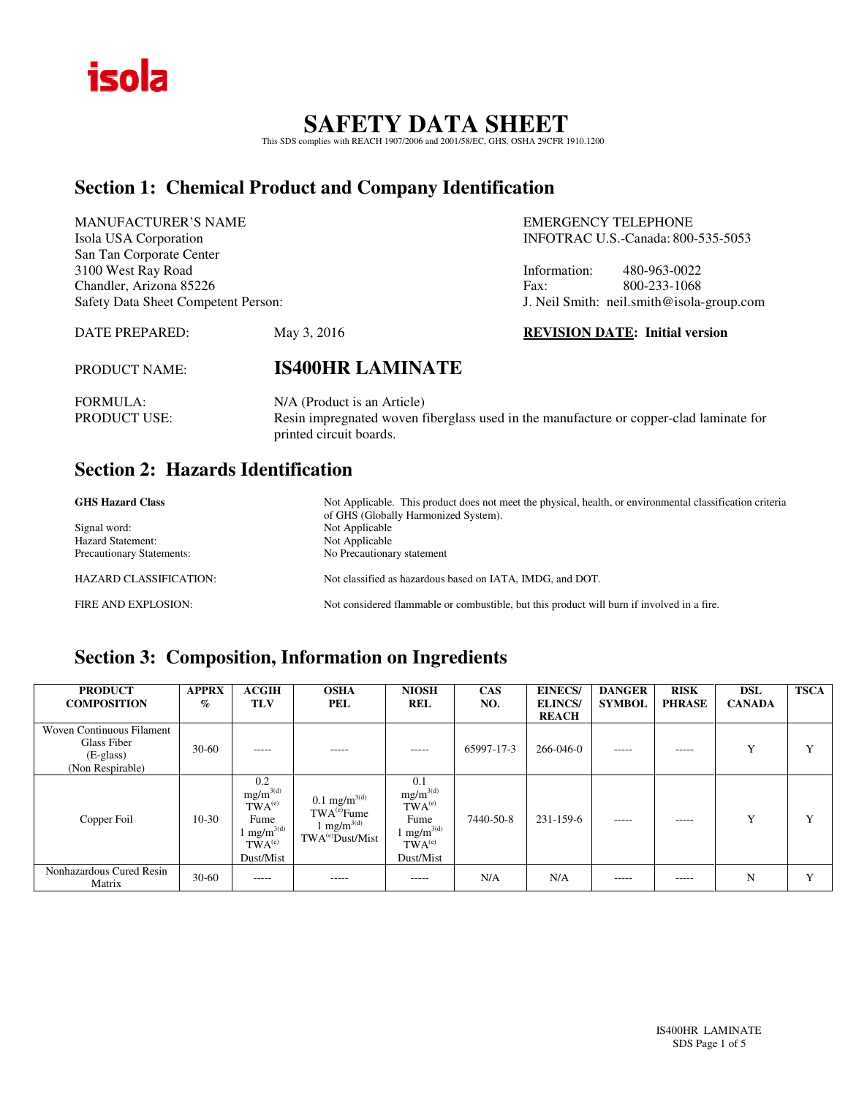

# **SAFETY DATA SHEET**  This SDS complies with REACH 1907/2006 and 2001/58/EC, GHS, OSHA 29CFR 1910.1200

### **Section 1: Chemical Product and Company Identification**

| <b>MANUFACTURER'S NAME</b>          |                                    |              | <b>EMERGENCY TELEPHONE</b>                |  |  |
|-------------------------------------|------------------------------------|--------------|-------------------------------------------|--|--|
| Isola USA Corporation               | INFOTRAC U.S.-Canada: 800-535-5053 |              |                                           |  |  |
| San Tan Corporate Center            |                                    |              |                                           |  |  |
| 3100 West Ray Road                  |                                    | Information: | 480-963-0022                              |  |  |
| Chandler, Arizona 85226             | Fax:                               |              | 800-233-1068                              |  |  |
| Safety Data Sheet Competent Person: |                                    |              | J. Neil Smith: neil.smith@isola-group.com |  |  |
| DATE PREPARED:                      | May 3, 2016                        |              | <b>REVISION DATE: Initial version</b>     |  |  |
|                                     |                                    |              |                                           |  |  |

PRODUCT NAME: **IS400HR LAMINATE** 

FORMULA: N/A (Product is an Article)<br>PRODUCT USE: Resin impregnated woven f Resin impregnated woven fiberglass used in the manufacture or copper-clad laminate for printed circuit boards.

### **Section 2: Hazards Identification**

| <b>GHS Hazard Class</b>          | Not Applicable. This product does not meet the physical, health, or environmental classification criteria<br>of GHS (Globally Harmonized System). |
|----------------------------------|---------------------------------------------------------------------------------------------------------------------------------------------------|
| Signal word:                     | Not Applicable                                                                                                                                    |
| <b>Hazard Statement:</b>         | Not Applicable                                                                                                                                    |
| <b>Precautionary Statements:</b> | No Precautionary statement                                                                                                                        |
| <b>HAZARD CLASSIFICATION:</b>    | Not classified as hazardous based on IATA, IMDG, and DOT.                                                                                         |
| FIRE AND EXPLOSION:              | Not considered flammable or combustible, but this product will burn if involved in a fire.                                                        |

## **Section 3: Composition, Information on Ingredients**

| <b>PRODUCT</b><br><b>COMPOSITION</b>                                        | <b>APPRX</b><br>$\%$ | <b>ACGIH</b><br>TLV                                                                                | <b>OSHA</b><br>PEL                                                                                             | <b>NIOSH</b><br><b>REL</b>                                                                         | <b>CAS</b><br>NO. | <b>EINECS/</b><br><b>ELINCS</b><br><b>REACH</b> | <b>DANGER</b><br><b>SYMBOL</b> | <b>RISK</b><br><b>PHRASE</b> | <b>DSL</b><br><b>CANADA</b> | <b>TSCA</b>  |
|-----------------------------------------------------------------------------|----------------------|----------------------------------------------------------------------------------------------------|----------------------------------------------------------------------------------------------------------------|----------------------------------------------------------------------------------------------------|-------------------|-------------------------------------------------|--------------------------------|------------------------------|-----------------------------|--------------|
| Woven Continuous Filament<br>Glass Fiber<br>$(E-glass)$<br>(Non Respirable) | $30-60$              | -----                                                                                              | -----                                                                                                          | $- - - - -$                                                                                        | 65997-17-3        | 266-046-0                                       | $- - - - -$                    | -----                        | Y                           | $\mathbf v$  |
| Copper Foil                                                                 | $10-30$              | 0.2<br>$mg/m^{3(d)}$<br>$TWA^{(e)}$<br>Fume<br>$1 \text{ mg/m}^{3(d)}$<br>$TWA^{(e)}$<br>Dust/Mist | $0.1 \text{ mg/m}^{3(d)}$<br>TWA <sup>(e)</sup> Fume<br>1 mg/m <sup>3(d)</sup><br>TWA <sup>(e)</sup> Dust/Mist | 0.1<br>$mg/m^{3(d)}$<br>$TWA^{(e)}$<br>Fume<br>l mg/m $^{3(d)}$<br>TWA <sup>(e)</sup><br>Dust/Mist | 7440-50-8         | 231-159-6                                       | -----                          | -----                        | $\mathbf{v}$                | $\mathbf{v}$ |
| Nonhazardous Cured Resin<br>Matrix                                          | $30-60$              | -----                                                                                              | -----                                                                                                          | -----                                                                                              | N/A               | N/A                                             | -----                          | -----                        | N                           | Y            |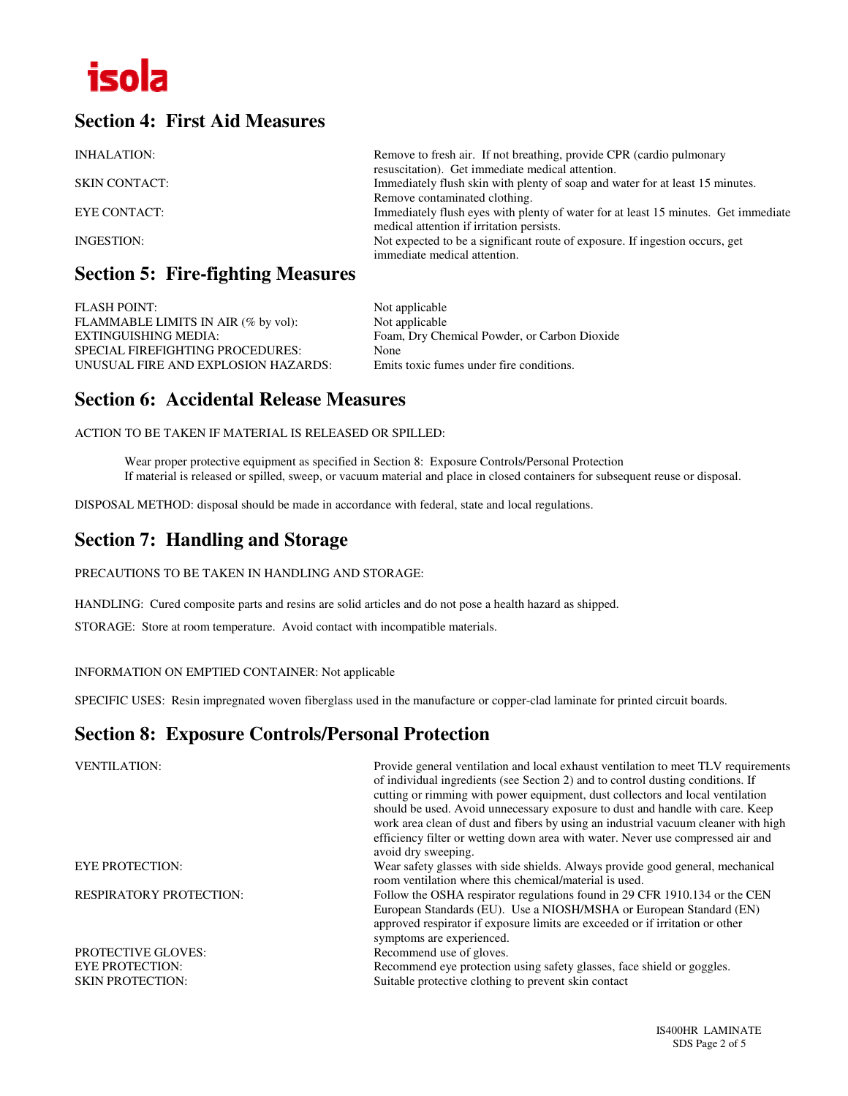

### **Section 4: First Aid Measures**

| INHALATION:          | Remove to fresh air. If not breathing, provide CPR (cardio pulmonary<br>resuscitation). Get immediate medical attention.        |
|----------------------|---------------------------------------------------------------------------------------------------------------------------------|
| <b>SKIN CONTACT:</b> | Immediately flush skin with plenty of soap and water for at least 15 minutes.<br>Remove contaminated clothing.                  |
| <b>EYE CONTACT:</b>  | Immediately flush eyes with plenty of water for at least 15 minutes. Get immediate<br>medical attention if irritation persists. |
| INGESTION:           | Not expected to be a significant route of exposure. If ingestion occurs, get<br>immediate medical attention.                    |

### **Section 5: Fire-fighting Measures**

FLASH POINT:<br>FLAMMABLE LIMITS IN AIR (% by vol): Not applicable FLAMMABLE LIMITS IN AIR (% by vol):<br>EXTINGUISHING MEDIA: SPECIAL FIREFIGHTING PROCEDURES: None UNUSUAL FIRE AND EXPLOSION HAZARDS: Emits toxic fumes under fire conditions.

Foam, Dry Chemical Powder, or Carbon Dioxide

### **Section 6: Accidental Release Measures**

ACTION TO BE TAKEN IF MATERIAL IS RELEASED OR SPILLED:

Wear proper protective equipment as specified in Section 8: Exposure Controls/Personal Protection If material is released or spilled, sweep, or vacuum material and place in closed containers for subsequent reuse or disposal.

DISPOSAL METHOD: disposal should be made in accordance with federal, state and local regulations.

### **Section 7: Handling and Storage**

PRECAUTIONS TO BE TAKEN IN HANDLING AND STORAGE:

HANDLING: Cured composite parts and resins are solid articles and do not pose a health hazard as shipped.

STORAGE: Store at room temperature. Avoid contact with incompatible materials.

INFORMATION ON EMPTIED CONTAINER: Not applicable

SPECIFIC USES: Resin impregnated woven fiberglass used in the manufacture or copper-clad laminate for printed circuit boards.

#### **Section 8: Exposure Controls/Personal Protection**

| <b>VENTILATION:</b>            | Provide general ventilation and local exhaust ventilation to meet TLV requirements<br>of individual ingredients (see Section 2) and to control dusting conditions. If<br>cutting or rimming with power equipment, dust collectors and local ventilation<br>should be used. Avoid unnecessary exposure to dust and handle with care. Keep<br>work area clean of dust and fibers by using an industrial vacuum cleaner with high<br>efficiency filter or wetting down area with water. Never use compressed air and<br>avoid dry sweeping. |
|--------------------------------|------------------------------------------------------------------------------------------------------------------------------------------------------------------------------------------------------------------------------------------------------------------------------------------------------------------------------------------------------------------------------------------------------------------------------------------------------------------------------------------------------------------------------------------|
| <b>EYE PROTECTION:</b>         | Wear safety glasses with side shields. Always provide good general, mechanical<br>room ventilation where this chemical/material is used.                                                                                                                                                                                                                                                                                                                                                                                                 |
| <b>RESPIRATORY PROTECTION:</b> | Follow the OSHA respirator regulations found in 29 CFR 1910.134 or the CEN<br>European Standards (EU). Use a NIOSH/MSHA or European Standard (EN)<br>approved respirator if exposure limits are exceeded or if irritation or other<br>symptoms are experienced.                                                                                                                                                                                                                                                                          |
| <b>PROTECTIVE GLOVES:</b>      | Recommend use of gloves.                                                                                                                                                                                                                                                                                                                                                                                                                                                                                                                 |
| <b>EYE PROTECTION:</b>         | Recommend eye protection using safety glasses, face shield or goggles.                                                                                                                                                                                                                                                                                                                                                                                                                                                                   |
| <b>SKIN PROTECTION:</b>        | Suitable protective clothing to prevent skin contact                                                                                                                                                                                                                                                                                                                                                                                                                                                                                     |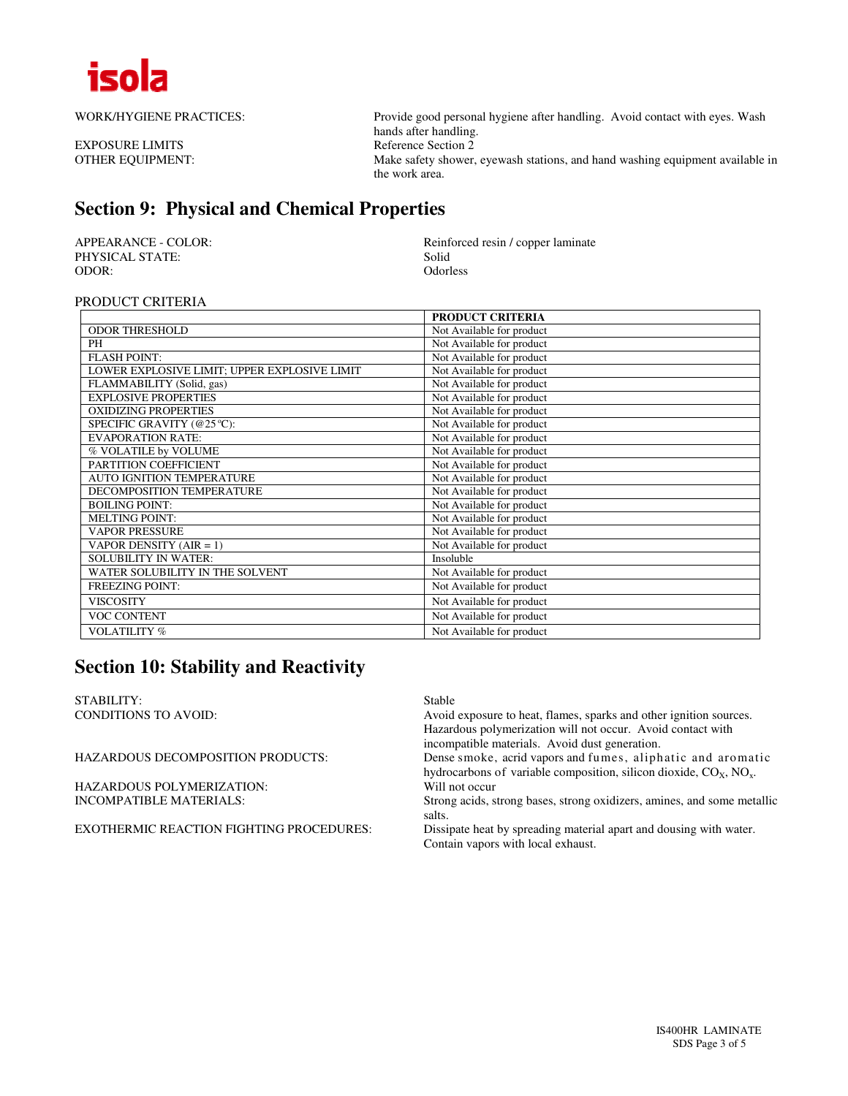

EXPOSURE LIMITS

WORK/HYGIENE PRACTICES: Provide good personal hygiene after handling. Avoid contact with eyes. Wash hands after handling.<br>Reference Section 2 OTHER EQUIPMENT: Make safety shower, eyewash stations, and hand washing equipment available in the work area.

### **Section 9: Physical and Chemical Properties**

PHYSICAL STATE:<br>
ODOR: Solid<br>
Odorless<br>
Odorless ODOR: Odorless

APPEARANCE - COLOR:<br>
PHYSICAL STATE:<br>
Solid
Solid
Reinforced resin / copper laminate

#### PRODUCT CRITERIA

|                                              | <b>PRODUCT CRITERIA</b>   |
|----------------------------------------------|---------------------------|
| <b>ODOR THRESHOLD</b>                        | Not Available for product |
| PH                                           | Not Available for product |
| <b>FLASH POINT:</b>                          | Not Available for product |
| LOWER EXPLOSIVE LIMIT; UPPER EXPLOSIVE LIMIT | Not Available for product |
| FLAMMABILITY (Solid, gas)                    | Not Available for product |
| <b>EXPLOSIVE PROPERTIES</b>                  | Not Available for product |
| <b>OXIDIZING PROPERTIES</b>                  | Not Available for product |
| SPECIFIC GRAVITY (@25 °C):                   | Not Available for product |
| <b>EVAPORATION RATE:</b>                     | Not Available for product |
| % VOLATILE by VOLUME                         | Not Available for product |
| PARTITION COEFFICIENT                        | Not Available for product |
| <b>AUTO IGNITION TEMPERATURE</b>             | Not Available for product |
| DECOMPOSITION TEMPERATURE                    | Not Available for product |
| <b>BOILING POINT:</b>                        | Not Available for product |
| <b>MELTING POINT:</b>                        | Not Available for product |
| <b>VAPOR PRESSURE</b>                        | Not Available for product |
| VAPOR DENSITY $(AIR = 1)$                    | Not Available for product |
| <b>SOLUBILITY IN WATER:</b>                  | Insoluble                 |
| WATER SOLUBILITY IN THE SOLVENT              | Not Available for product |
| <b>FREEZING POINT:</b>                       | Not Available for product |
| <b>VISCOSITY</b>                             | Not Available for product |
| <b>VOC CONTENT</b>                           | Not Available for product |
| <b>VOLATILITY %</b>                          | Not Available for product |

### **Section 10: Stability and Reactivity**

STABILITY: Stable CONDITIONS TO AVOID:

| CONDITIONS TO AVOID:                     | Avoid exposure to heat, flames, sparks and other ignition sources.               |
|------------------------------------------|----------------------------------------------------------------------------------|
|                                          | Hazardous polymerization will not occur. Avoid contact with                      |
|                                          | incompatible materials. Avoid dust generation.                                   |
| HAZARDOUS DECOMPOSITION PRODUCTS:        | Dense smoke, acrid vapors and fumes, aliphatic and aromatic                      |
|                                          | hydrocarbons of variable composition, silicon dioxide, $COx$ , NO <sub>x</sub> . |
| HAZARDOUS POLYMERIZATION:                | Will not occur                                                                   |
| INCOMPATIBLE MATERIALS:                  | Strong acids, strong bases, strong oxidizers, amines, and some metallic          |
|                                          | salts.                                                                           |
| EXOTHERMIC REACTION FIGHTING PROCEDURES: | Dissipate heat by spreading material apart and dousing with water.               |
|                                          | Contain vapors with local exhaust.                                               |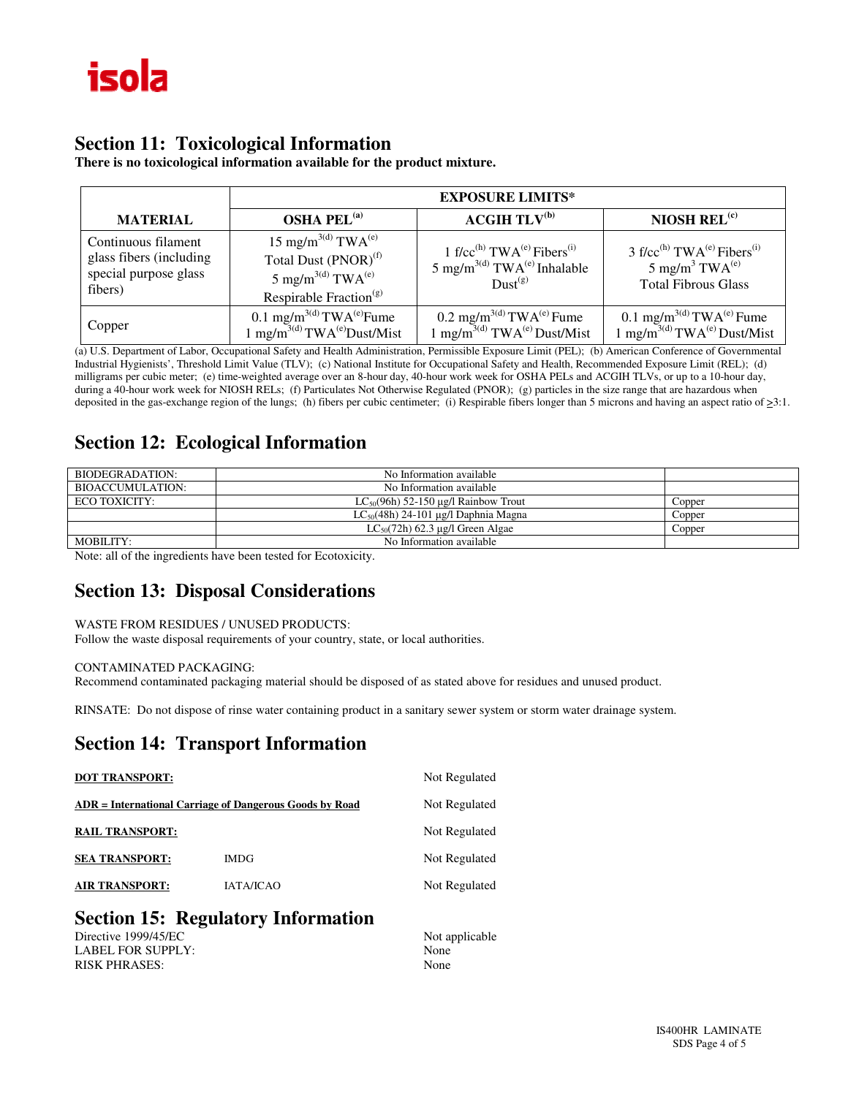### **Section 11: Toxicological Information**

**There is no toxicological information available for the product mixture.** 

|                                                                                    | <b>EXPOSURE LIMITS*</b>                                                                                                                                           |                                                                                                                                              |                                                                                                                                        |  |
|------------------------------------------------------------------------------------|-------------------------------------------------------------------------------------------------------------------------------------------------------------------|----------------------------------------------------------------------------------------------------------------------------------------------|----------------------------------------------------------------------------------------------------------------------------------------|--|
| <b>MATERIAL</b>                                                                    | <b>OSHA PEL<sup>(a)</sup></b>                                                                                                                                     | ACGIH TLV <sup>(b)</sup>                                                                                                                     | NIOSH REL $(c)$                                                                                                                        |  |
| Continuous filament<br>glass fibers (including<br>special purpose glass<br>fibers) | 15 mg/m <sup>3(d)</sup> TWA <sup>(e)</sup><br>Total Dust (PNOR) <sup>(f)</sup><br>5 mg/m <sup>3(d)</sup> TWA <sup>(e)</sup><br>Respirable Fraction <sup>(g)</sup> | 1 f/cc <sup>(h)</sup> TWA <sup>(e)</sup> Fibers <sup>(i)</sup><br>5 mg/m <sup>3(d)</sup> TWA <sup>(e)</sup> Inhalable<br>Dust <sup>(g)</sup> | 3 f/cc <sup>(h)</sup> TWA <sup>(e)</sup> Fibers <sup>(i)</sup><br>5 mg/m <sup>3</sup> TWA <sup>(e)</sup><br><b>Total Fibrous Glass</b> |  |
| Copper                                                                             | 0.1 mg/m <sup>3(d)</sup> TWA <sup>(e)</sup> Fume<br>1 mg/m <sup>3(d)</sup> TWA <sup>(e)</sup> Dust/Mist                                                           | 0.2 mg/m <sup>3(d)</sup> TWA <sup>(e)</sup> Fume<br>$1 \text{ mg/m}^{3(d)} \text{TWA}^{(e)} \text{Dust/Mist}$                                | 0.1 mg/m <sup>3(d)</sup> TWA <sup>(e)</sup> Fume<br>1 mg/m <sup>3(d)</sup> TWA <sup>(e)</sup> Dust/Mist                                |  |

(a) U.S. Department of Labor, Occupational Safety and Health Administration, Permissible Exposure Limit (PEL); (b) American Conference of Governmental Industrial Hygienists', Threshold Limit Value (TLV); (c) National Institute for Occupational Safety and Health, Recommended Exposure Limit (REL); (d) milligrams per cubic meter; (e) time-weighted average over an 8-hour day, 40-hour work week for OSHA PELs and ACGIH TLVs, or up to a 10-hour day, during a 40-hour work week for NIOSH RELs; (f) Particulates Not Otherwise Regulated (PNOR); (g) particles in the size range that are hazardous when deposited in the gas-exchange region of the lungs; (h) fibers per cubic centimeter; (i) Respirable fibers longer than 5 microns and having an aspect ratio of  $\geq 3:1$ .

### **Section 12: Ecological Information**

| BIODEGRADATION:         | No Information available                 |        |
|-------------------------|------------------------------------------|--------|
| <b>BIOACCUMULATION:</b> | No Information available                 |        |
| ECO TOXICITY:           | $LC_{50}(96h)$ 52-150 µg/l Rainbow Trout | Copper |
|                         | $LC_{50}(48h)$ 24-101 µg/l Daphnia Magna | Copper |
|                         | $LC_{50}(72h)$ 62.3 µg/l Green Algae     | Copper |
| MOBILITY:               | No Information available                 |        |

Note: all of the ingredients have been tested for Ecotoxicity.

### **Section 13: Disposal Considerations**

#### WASTE FROM RESIDUES / UNUSED PRODUCTS:

Follow the waste disposal requirements of your country, state, or local authorities.

#### CONTAMINATED PACKAGING:

Recommend contaminated packaging material should be disposed of as stated above for residues and unused product.

RINSATE: Do not dispose of rinse water containing product in a sanitary sewer system or storm water drainage system.

#### **Section 14: Transport Information**

| <b>DOT TRANSPORT:</b>  |                                                         | Not Regulated  |
|------------------------|---------------------------------------------------------|----------------|
|                        | ADR = International Carriage of Dangerous Goods by Road | Not Regulated  |
| <b>RAIL TRANSPORT:</b> |                                                         | Not Regulated  |
| <b>SEA TRANSPORT:</b>  | <b>IMDG</b>                                             | Not Regulated  |
| <b>AIR TRANSPORT:</b>  | <b>IATA/ICAO</b>                                        | Not Regulated  |
|                        | <b>Section 15: Regulatory Information</b>               |                |
| Directive 1999/45/EC   |                                                         | Not applicable |

LABEL FOR SUPPLY: None